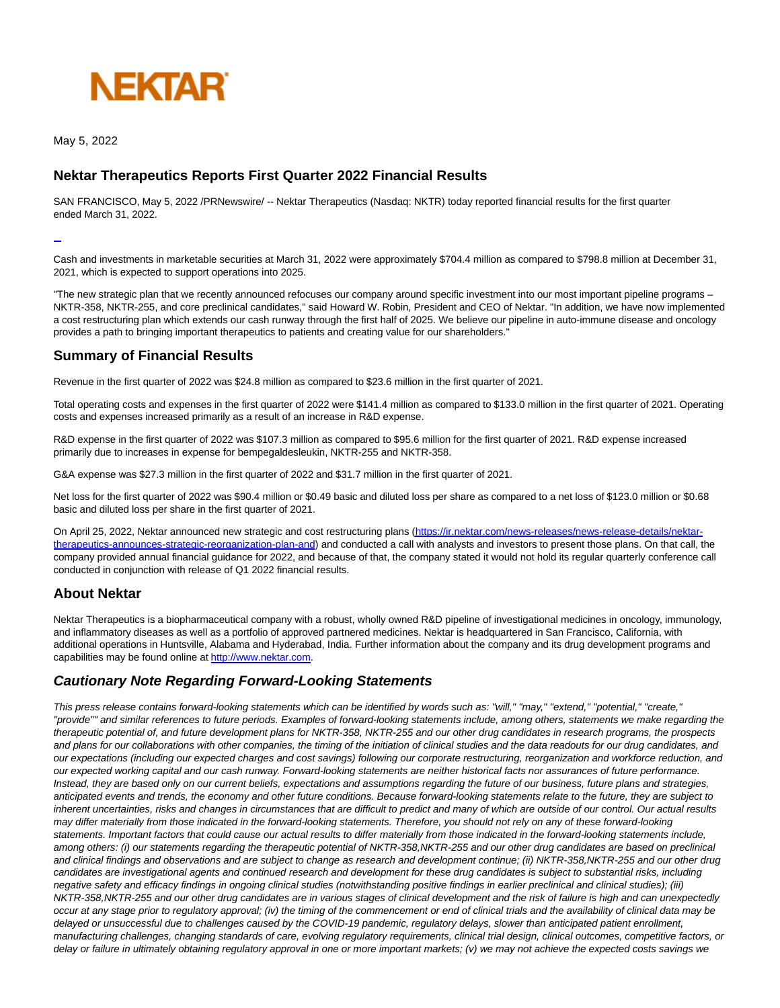

May 5, 2022

# **Nektar Therapeutics Reports First Quarter 2022 Financial Results**

SAN FRANCISCO, May 5, 2022 /PRNewswire/ -- Nektar Therapeutics (Nasdaq: NKTR) today reported financial results for the first quarter ended March 31, 2022.

L

Cash and investments in marketable securities at March 31, 2022 were approximately \$704.4 million as compared to \$798.8 million at December 31, 2021, which is expected to support operations into 2025.

"The new strategic plan that we recently announced refocuses our company around specific investment into our most important pipeline programs – NKTR-358, NKTR-255, and core preclinical candidates," said Howard W. Robin, President and CEO of Nektar. "In addition, we have now implemented a cost restructuring plan which extends our cash runway through the first half of 2025. We believe our pipeline in auto-immune disease and oncology provides a path to bringing important therapeutics to patients and creating value for our shareholders."

# **Summary of Financial Results**

Revenue in the first quarter of 2022 was \$24.8 million as compared to \$23.6 million in the first quarter of 2021.

Total operating costs and expenses in the first quarter of 2022 were \$141.4 million as compared to \$133.0 million in the first quarter of 2021. Operating costs and expenses increased primarily as a result of an increase in R&D expense.

R&D expense in the first quarter of 2022 was \$107.3 million as compared to \$95.6 million for the first quarter of 2021. R&D expense increased primarily due to increases in expense for bempegaldesleukin, NKTR-255 and NKTR-358.

G&A expense was \$27.3 million in the first quarter of 2022 and \$31.7 million in the first quarter of 2021.

Net loss for the first quarter of 2022 was \$90.4 million or \$0.49 basic and diluted loss per share as compared to a net loss of \$123.0 million or \$0.68 basic and diluted loss per share in the first quarter of 2021.

On April 25, 2022, Nektar announced new strategic and cost restructuring plans [\(https://ir.nektar.com/news-releases/news-release-details/nektar](https://c212.net/c/link/?t=0&l=en&o=3525194-1&h=3976277697&u=https%3A%2F%2Fir.nektar.com%2Fnews-releases%2Fnews-release-details%2Fnektar-therapeutics-announces-strategic-reorganization-plan-and&a=https%3A%2F%2Fir.nektar.com%2Fnews-releases%2Fnews-release-details%2Fnektar-therapeutics-announces-strategic-reorganization-plan-and)therapeutics-announces-strategic-reorganization-plan-and) and conducted a call with analysts and investors to present those plans. On that call, the company provided annual financial guidance for 2022, and because of that, the company stated it would not hold its regular quarterly conference call conducted in conjunction with release of Q1 2022 financial results.

## **About Nektar**

Nektar Therapeutics is a biopharmaceutical company with a robust, wholly owned R&D pipeline of investigational medicines in oncology, immunology, and inflammatory diseases as well as a portfolio of approved partnered medicines. Nektar is headquartered in San Francisco, California, with additional operations in Huntsville, Alabama and Hyderabad, India. Further information about the company and its drug development programs and capabilities may be found online at [http://www.nektar.com.](https://c212.net/c/link/?t=0&l=en&o=3525194-1&h=4225469822&u=http%3A%2F%2Fwww.nektar.com&a=http%3A%2F%2Fwww.nektar.com)

## **Cautionary Note Regarding Forward-Looking Statements**

This press release contains forward-looking statements which can be identified by words such as: "will," "may," "extend," "potential," "create," "provide"" and similar references to future periods. Examples of forward-looking statements include, among others, statements we make regarding the therapeutic potential of, and future development plans for NKTR-358, NKTR-255 and our other drug candidates in research programs, the prospects and plans for our collaborations with other companies, the timing of the initiation of clinical studies and the data readouts for our drug candidates, and our expectations (including our expected charges and cost savings) following our corporate restructuring, reorganization and workforce reduction, and our expected working capital and our cash runway. Forward-looking statements are neither historical facts nor assurances of future performance. Instead, they are based only on our current beliefs, expectations and assumptions regarding the future of our business, future plans and strategies, anticipated events and trends, the economy and other future conditions. Because forward-looking statements relate to the future, they are subject to inherent uncertainties, risks and changes in circumstances that are difficult to predict and many of which are outside of our control. Our actual results may differ materially from those indicated in the forward-looking statements. Therefore, you should not rely on any of these forward-looking statements. Important factors that could cause our actual results to differ materially from those indicated in the forward-looking statements include, among others: (i) our statements regarding the therapeutic potential of NKTR-358,NKTR-255 and our other drug candidates are based on preclinical and clinical findings and observations and are subject to change as research and development continue; (ii) NKTR-358,NKTR-255 and our other drug candidates are investigational agents and continued research and development for these drug candidates is subject to substantial risks, including negative safety and efficacy findings in ongoing clinical studies (notwithstanding positive findings in earlier preclinical and clinical studies); (iii) NKTR-358,NKTR-255 and our other drug candidates are in various stages of clinical development and the risk of failure is high and can unexpectedly occur at any stage prior to regulatory approval; (iv) the timing of the commencement or end of clinical trials and the availability of clinical data may be delayed or unsuccessful due to challenges caused by the COVID-19 pandemic, regulatory delays, slower than anticipated patient enrollment, manufacturing challenges, changing standards of care, evolving regulatory requirements, clinical trial design, clinical outcomes, competitive factors, or delay or failure in ultimately obtaining regulatory approval in one or more important markets; (v) we may not achieve the expected costs savings we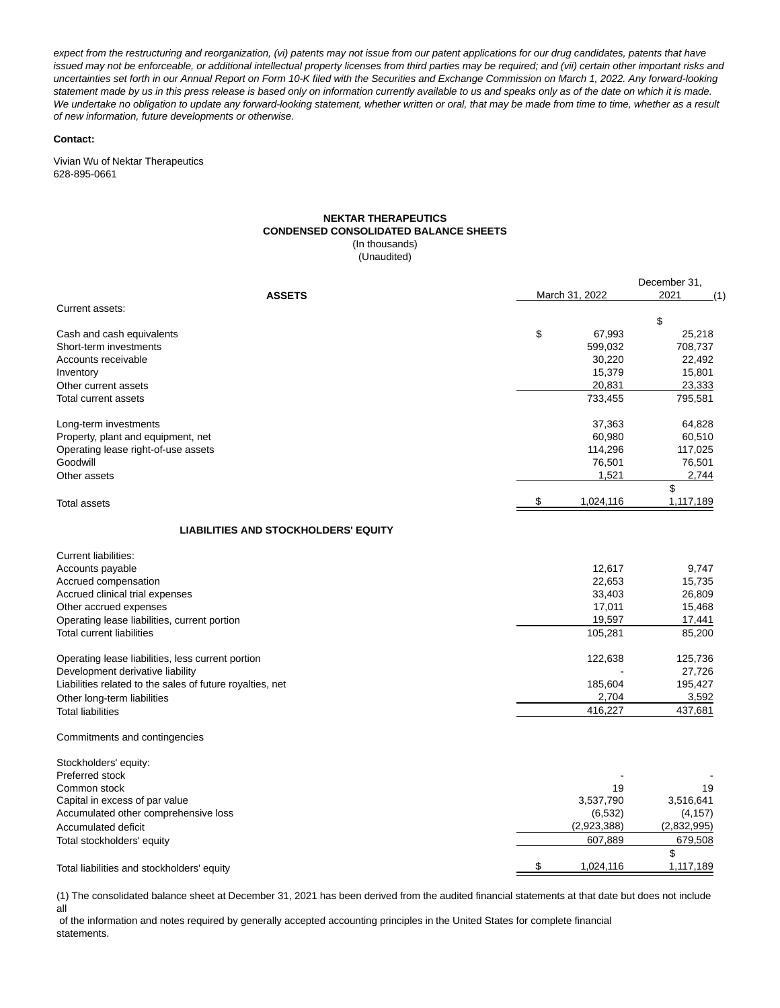expect from the restructuring and reorganization, (vi) patents may not issue from our patent applications for our drug candidates, patents that have issued may not be enforceable, or additional intellectual property licenses from third parties may be required; and (vii) certain other important risks and uncertainties set forth in our Annual Report on Form 10-K filed with the Securities and Exchange Commission on March 1, 2022. Any forward-looking statement made by us in this press release is based only on information currently available to us and speaks only as of the date on which it is made. We undertake no obligation to update any forward-looking statement, whether written or oral, that may be made from time to time, whether as a result of new information, future developments or otherwise.

#### **Contact:**

Vivian Wu of Nektar Therapeutics 628-895-0661

#### **NEKTAR THERAPEUTICS CONDENSED CONSOLIDATED BALANCE SHEETS** (In thousands)

(Unaudited)

| <b>ASSETS</b>                                                             | March 31, 2022  |              |
|---------------------------------------------------------------------------|-----------------|--------------|
| Current assets:                                                           |                 |              |
| Cash and cash equivalents                                                 | \$<br>67,993    | \$<br>25,218 |
| Short-term investments                                                    | 599,032         | 708,737      |
| Accounts receivable                                                       | 30,220          | 22,492       |
| Inventory                                                                 | 15,379          | 15,801       |
| Other current assets                                                      | 20,831          | 23,333       |
| Total current assets                                                      | 733,455         | 795,581      |
|                                                                           |                 |              |
| Long-term investments                                                     | 37,363          | 64,828       |
| Property, plant and equipment, net                                        | 60,980          | 60,510       |
| Operating lease right-of-use assets                                       | 114,296         | 117,025      |
| Goodwill                                                                  | 76,501          | 76,501       |
| Other assets                                                              | 1,521           | 2,744        |
|                                                                           |                 | \$           |
| Total assets                                                              | \$<br>1,024,116 | 1,117,189    |
| <b>LIABILITIES AND STOCKHOLDERS' EQUITY</b>                               |                 |              |
| Current liabilities:                                                      |                 |              |
| Accounts payable                                                          | 12,617          | 9,747        |
| Accrued compensation                                                      | 22,653          | 15,735       |
| Accrued clinical trial expenses                                           | 33,403          | 26,809       |
| Other accrued expenses                                                    | 17,011          | 15,468       |
|                                                                           | 19,597          | 17,441       |
| Operating lease liabilities, current portion<br>Total current liabilities |                 |              |
|                                                                           | 105,281         | 85,200       |
| Operating lease liabilities, less current portion                         | 122,638         | 125,736      |
| Development derivative liability                                          |                 | 27,726       |
| Liabilities related to the sales of future royalties, net                 | 185,604         | 195,427      |
| Other long-term liabilities                                               | 2,704           | 3,592        |
| <b>Total liabilities</b>                                                  | 416,227         | 437,681      |
| Commitments and contingencies                                             |                 |              |
| Stockholders' equity:                                                     |                 |              |
| Preferred stock                                                           |                 |              |
| Common stock                                                              | 19              | 19           |
| Capital in excess of par value                                            | 3,537,790       | 3,516,641    |
| Accumulated other comprehensive loss                                      | (6, 532)        | (4, 157)     |
| Accumulated deficit                                                       | (2,923,388)     | (2,832,995)  |
| Total stockholders' equity                                                | 607,889         | 679,508      |
|                                                                           |                 | \$           |
| Total liabilities and stockholders' equity                                | \$<br>1,024,116 | 1,117,189    |

(1) The consolidated balance sheet at December 31, 2021 has been derived from the audited financial statements at that date but does not include all

 of the information and notes required by generally accepted accounting principles in the United States for complete financial statements.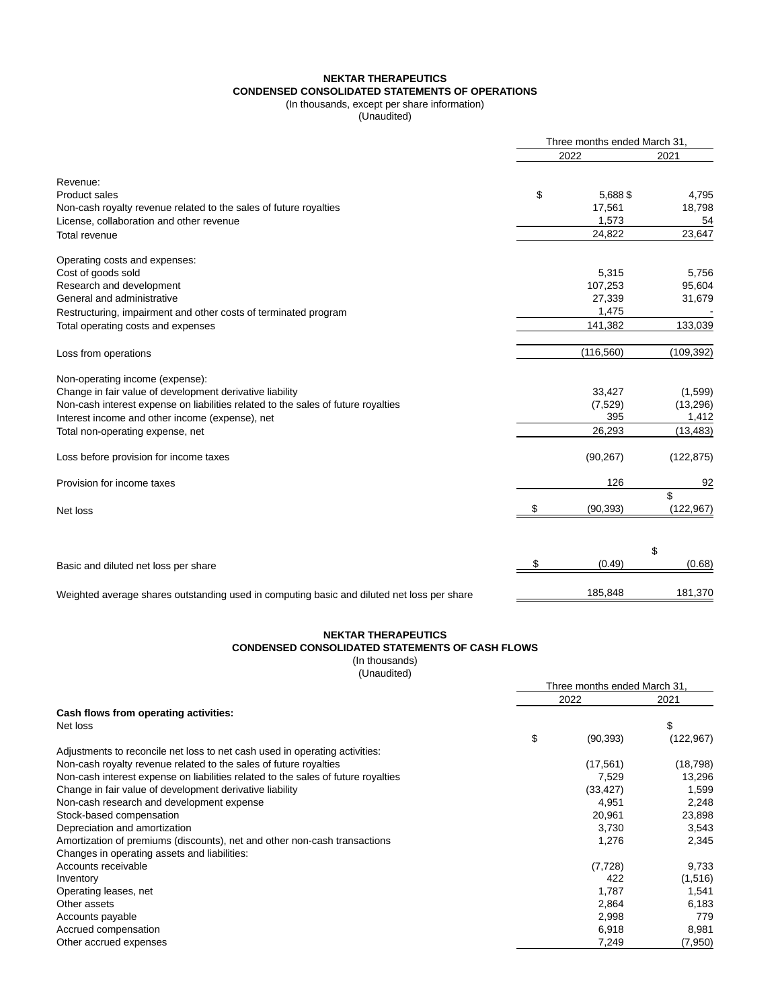### **NEKTAR THERAPEUTICS CONDENSED CONSOLIDATED STATEMENTS OF OPERATIONS**

(In thousands, except per share information)

(Unaudited)

|                                                                                            |    | Three months ended March 31, |            |  |
|--------------------------------------------------------------------------------------------|----|------------------------------|------------|--|
|                                                                                            |    | 2022                         |            |  |
| Revenue:                                                                                   |    |                              |            |  |
| <b>Product sales</b>                                                                       | \$ | 5.688\$                      | 4,795      |  |
| Non-cash royalty revenue related to the sales of future royalties                          |    | 17,561                       | 18,798     |  |
| License, collaboration and other revenue                                                   |    | 1,573                        | 54         |  |
| Total revenue                                                                              |    | 24,822                       | 23,647     |  |
| Operating costs and expenses:                                                              |    |                              |            |  |
| Cost of goods sold                                                                         |    | 5,315                        | 5,756      |  |
| Research and development                                                                   |    | 107,253                      | 95,604     |  |
| General and administrative                                                                 |    | 27,339                       | 31,679     |  |
| Restructuring, impairment and other costs of terminated program                            |    | 1,475                        |            |  |
| Total operating costs and expenses                                                         |    | 141,382                      | 133,039    |  |
| Loss from operations                                                                       |    | (116, 560)                   | (109, 392) |  |
| Non-operating income (expense):                                                            |    |                              |            |  |
| Change in fair value of development derivative liability                                   |    | 33,427                       | (1,599)    |  |
| Non-cash interest expense on liabilities related to the sales of future royalties          |    | (7,529)                      | (13, 296)  |  |
| Interest income and other income (expense), net                                            |    | 395                          | 1,412      |  |
| Total non-operating expense, net                                                           |    | 26,293                       | (13, 483)  |  |
| Loss before provision for income taxes                                                     |    | (90, 267)                    | (122, 875) |  |
| Provision for income taxes                                                                 |    | 126                          | 92         |  |
|                                                                                            |    |                              | \$         |  |
| Net loss                                                                                   | \$ | (90, 393)                    | (122, 967) |  |
|                                                                                            |    |                              |            |  |
|                                                                                            |    |                              | \$         |  |
| Basic and diluted net loss per share                                                       | \$ | (0.49)                       | (0.68)     |  |
| Weighted average shares outstanding used in computing basic and diluted net loss per share |    | 185,848                      | 181,370    |  |
|                                                                                            |    |                              |            |  |

#### **NEKTAR THERAPEUTICS CONDENSED CONSOLIDATED STATEMENTS OF CASH FLOWS** (In thousands)

(Unaudited)

|                                                                                   | Three months ended March 31. |           |            |  |
|-----------------------------------------------------------------------------------|------------------------------|-----------|------------|--|
|                                                                                   | 2022                         |           | 2021       |  |
| Cash flows from operating activities:                                             |                              |           |            |  |
| Net loss                                                                          |                              |           | \$         |  |
|                                                                                   | \$                           | (90, 393) | (122, 967) |  |
| Adjustments to reconcile net loss to net cash used in operating activities:       |                              |           |            |  |
| Non-cash royalty revenue related to the sales of future royalties                 |                              | (17, 561) | (18, 798)  |  |
| Non-cash interest expense on liabilities related to the sales of future royalties |                              | 7,529     | 13,296     |  |
| Change in fair value of development derivative liability                          |                              | (33, 427) | 1,599      |  |
| Non-cash research and development expense                                         |                              | 4,951     | 2,248      |  |
| Stock-based compensation                                                          |                              | 20,961    | 23,898     |  |
| Depreciation and amortization                                                     |                              | 3,730     | 3,543      |  |
| Amortization of premiums (discounts), net and other non-cash transactions         |                              | 1,276     | 2,345      |  |
| Changes in operating assets and liabilities:                                      |                              |           |            |  |
| Accounts receivable                                                               |                              | (7, 728)  | 9,733      |  |
| Inventory                                                                         |                              | 422       | (1,516)    |  |
| Operating leases, net                                                             |                              | 1,787     | 1,541      |  |
| Other assets                                                                      |                              | 2,864     | 6,183      |  |
| Accounts payable                                                                  |                              | 2,998     | 779        |  |
| Accrued compensation                                                              |                              | 6,918     | 8,981      |  |
| Other accrued expenses                                                            |                              | 7,249     | (7,950)    |  |